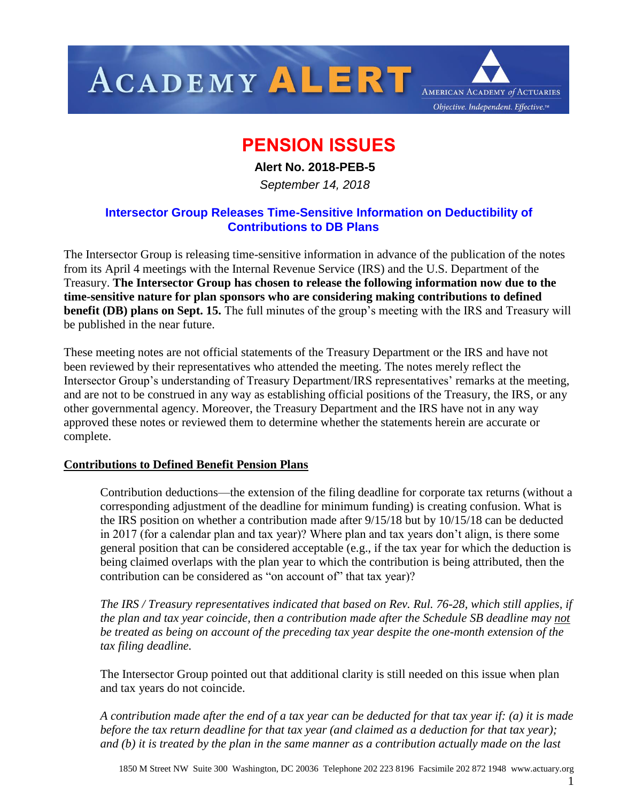

## **PENSION ISSUES**

 **Alert No. 2018-PEB-5**

 *September 14, 2018*

## **Intersector Group Releases Time-Sensitive Information on Deductibility of Contributions to DB Plans**

The Intersector Group is releasing time-sensitive information in advance of the publication of the notes from its April 4 meetings with the Internal Revenue Service (IRS) and the U.S. Department of the Treasury. **The Intersector Group has chosen to release the following information now due to the time-sensitive nature for plan sponsors who are considering making contributions to defined benefit (DB) plans on Sept. 15.** The full minutes of the group's meeting with the IRS and Treasury will be published in the near future.

These meeting notes are not official statements of the Treasury Department or the IRS and have not been reviewed by their representatives who attended the meeting. The notes merely reflect the Intersector Group's understanding of Treasury Department/IRS representatives' remarks at the meeting, and are not to be construed in any way as establishing official positions of the Treasury, the IRS, or any other governmental agency. Moreover, the Treasury Department and the IRS have not in any way approved these notes or reviewed them to determine whether the statements herein are accurate or complete.

## **Contributions to Defined Benefit Pension Plans**

Contribution deductions—the extension of the filing deadline for corporate tax returns (without a corresponding adjustment of the deadline for minimum funding) is creating confusion. What is the IRS position on whether a contribution made after 9/15/18 but by 10/15/18 can be deducted in 2017 (for a calendar plan and tax year)? Where plan and tax years don't align, is there some general position that can be considered acceptable (e.g., if the tax year for which the deduction is being claimed overlaps with the plan year to which the contribution is being attributed, then the contribution can be considered as "on account of" that tax year)?

*The IRS / Treasury representatives indicated that based on Rev. Rul. 76-28, which still applies, if the plan and tax year coincide, then a contribution made after the Schedule SB deadline may not be treated as being on account of the preceding tax year despite the one-month extension of the tax filing deadline.*

The Intersector Group pointed out that additional clarity is still needed on this issue when plan and tax years do not coincide.

*A contribution made after the end of a tax year can be deducted for that tax year if: (a) it is made before the tax return deadline for that tax year (and claimed as a deduction for that tax year); and (b) it is treated by the plan in the same manner as a contribution actually made on the last* 

1